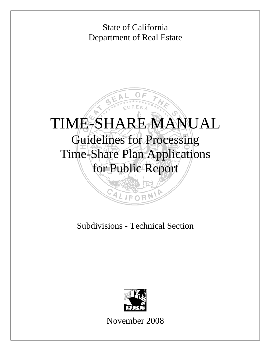

# Subdivisions - Technical Section



November 2008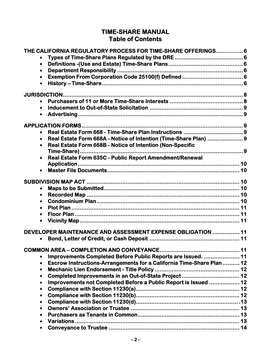# **TIME-SHARE MANUAL Table of Contents**

| THE CALIFORNIA REGULATORY PROCESS FOR TIME-SHARE OFFERINGS 6                       |  |
|------------------------------------------------------------------------------------|--|
|                                                                                    |  |
| $\bullet$                                                                          |  |
| $\bullet$                                                                          |  |
|                                                                                    |  |
| $\bullet$                                                                          |  |
|                                                                                    |  |
|                                                                                    |  |
|                                                                                    |  |
|                                                                                    |  |
| $\bullet$                                                                          |  |
|                                                                                    |  |
|                                                                                    |  |
| Real Estate Form 668A - Notice of Intention (Time-Share Plan)  9<br>$\bullet$      |  |
| Real Estate Form 668B - Notice of Intention (Non-Specific                          |  |
|                                                                                    |  |
| Real Estate Form 635C - Public Report Amendment/Renewal                            |  |
|                                                                                    |  |
|                                                                                    |  |
|                                                                                    |  |
|                                                                                    |  |
|                                                                                    |  |
| $\bullet$                                                                          |  |
|                                                                                    |  |
| $\bullet$                                                                          |  |
| $\bullet$                                                                          |  |
|                                                                                    |  |
|                                                                                    |  |
| DEVELOPER MAINTENANCE AND ASSESSMENT EXPENSE OBLIGATION  11                        |  |
|                                                                                    |  |
|                                                                                    |  |
| Improvements Completed Before Public Reports are Issued.  11<br>$\bullet$          |  |
| Escrow Instructions-Arrangements for a California Time-Share Plan  12<br>$\bullet$ |  |
| $\bullet$                                                                          |  |
| Completed Improvements in an Out-of-State Project 12<br>$\bullet$                  |  |
| Improvements not Completed Before a Public Report is Issued  12<br>$\bullet$       |  |
| $\bullet$                                                                          |  |
| $\bullet$                                                                          |  |
| $\bullet$                                                                          |  |
| $\bullet$                                                                          |  |
| $\bullet$                                                                          |  |
| $\bullet$                                                                          |  |
|                                                                                    |  |
|                                                                                    |  |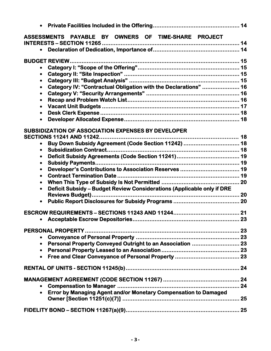| PAYABLE BY<br>OWNERS OF TIME-SHARE PROJECT<br><b>ASSESSMENTS</b>                          |    |
|-------------------------------------------------------------------------------------------|----|
|                                                                                           |    |
| $\bullet$                                                                                 |    |
| $\bullet$                                                                                 |    |
| $\bullet$<br>Category IV: "Contractual Obligation with the Declarations"  16<br>$\bullet$ |    |
| $\bullet$                                                                                 |    |
| $\bullet$<br>$\bullet$                                                                    |    |
| $\bullet$                                                                                 |    |
| $\bullet$                                                                                 |    |
| <b>SUBSIDIZATION OF ASSOCIATION EXPENSES BY DEVELOPER</b>                                 |    |
| Buy Down Subsidy Agreement (Code Section 11242)  18                                       |    |
| $\bullet$<br>$\bullet$                                                                    |    |
| $\bullet$                                                                                 |    |
| Developer's Contributions to Association Reserves  19<br>$\bullet$<br>$\bullet$           |    |
| $\bullet$                                                                                 |    |
| Deficit Subsidy - Budget Review Considerations (Applicable only if DRE<br>$\bullet$       |    |
|                                                                                           |    |
|                                                                                           |    |
|                                                                                           | 23 |
| $\bullet$                                                                                 |    |
| Personal Property Conveyed Outright to an Association  23                                 |    |
| $\bullet$                                                                                 |    |
|                                                                                           |    |
|                                                                                           |    |
|                                                                                           |    |
| • Error by Managing Agent and/or Monetary Compensation to Damaged                         |    |
|                                                                                           |    |
|                                                                                           |    |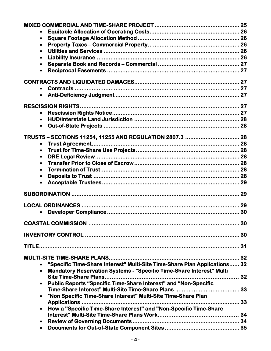| $\bullet$                                                                                |    |
|------------------------------------------------------------------------------------------|----|
| $\bullet$                                                                                |    |
| $\bullet$                                                                                |    |
| $\bullet$                                                                                |    |
|                                                                                          |    |
| $\bullet$                                                                                |    |
|                                                                                          |    |
| Contracts                                                                                |    |
| $\bullet$                                                                                |    |
|                                                                                          |    |
|                                                                                          |    |
|                                                                                          |    |
| $\bullet$                                                                                |    |
|                                                                                          |    |
| TRUSTS - SECTIONS 11254, 11255 AND REGULATION 2807.3  28                                 |    |
| $\bullet$                                                                                |    |
| $\bullet$                                                                                |    |
| $\bullet$                                                                                |    |
|                                                                                          |    |
| $\bullet$                                                                                |    |
| $\bullet$                                                                                |    |
| $\bullet$                                                                                |    |
|                                                                                          | 29 |
|                                                                                          |    |
|                                                                                          | 29 |
|                                                                                          | 30 |
|                                                                                          | 30 |
|                                                                                          |    |
|                                                                                          |    |
|                                                                                          |    |
| "Specific Time-Share Interest" Multi-Site Time-Share Plan Applications 32<br>$\bullet$   |    |
| <b>Mandatory Reservation Systems - "Specific Time-Share Interest" Multi</b><br>$\bullet$ |    |
| Site Time-Share Plans                                                                    |    |
| <b>Public Reports "Specific Time-Share Interest" and "Non-Specific</b>                   |    |
| $\bullet$                                                                                |    |
| "Non Specific Time-Share Interest" Multi-Site Time-Share Plan                            |    |
|                                                                                          |    |
| How a "Specific Time-Share Interest" and "Non-Specific Time-Share                        |    |
|                                                                                          |    |
|                                                                                          |    |
|                                                                                          |    |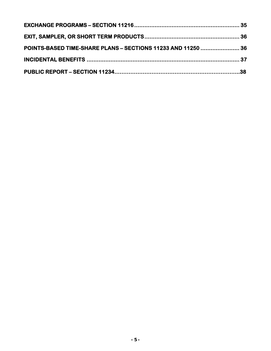| POINTS-BASED TIME-SHARE PLANS - SECTIONS 11233 AND 11250  36 |  |
|--------------------------------------------------------------|--|
|                                                              |  |
|                                                              |  |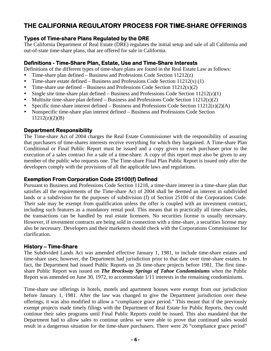# **THE CALIFORNIA REGULATORY PROCESS FOR TIME-SHARE OFFERINGS**

### **Types of Time-share Plans Regulated by the DRE**

The California Department of Real Estate (DRE) regulates the initial setup and sale of all California and out-of-state time-share plans, that are offered for sale in California.

### **Definitions - Time-Share Plan, Estate, Use and Time-Share Interests**

Definitions of the different types of time-share plans are found in the Real Estate Law as follows:

- Time-share plan defined Business and Professions Code Section  $11212(z)$
- Time-share estate defined Business and Professions Code Section  $11212(x)$  (1)
- Time-share use defined Business and Professions Code Section  $11212(x)(2)$
- Single site time-share plan defined Business and Professions Code Section  $11212(z)(1)$
- Multisite time-share plan defined Business and Professions Code Section  $11212(z)(2)$
- Specific time-share interest defined Business and Professions Code Section  $11212(z)(2)(A)$
- Nonspecific time-share plan interest defined Business and Professions Code Section 11212(z)(2)(B)

### **Department Responsibility**

The Time-share Act of 2004 charges the Real Estate Commissioner with the responsibility of assuring that purchasers of time-shares interests receive everything for which they bargained. A Time-share Plan Conditional or Final Public Report must be issued and a copy given to each purchaser prior to the execution of a sales contract for a sale of a time-share. A copy of this report must also be given to any member of the public who requests one. The Time-share Final Plan Public Report is issued only after the developers comply with the provisions of all the applicable laws and regulations.

#### **Exemption From Corporation Code 25100(f) Defined**

Pursuant to Business and Professions Code Section 11218, a time-share interest in a time-share plan that satisfies all the requirements of the Time-share Act of 2004 shall be deemed an interest in subdivided lands or a subdivision for the purposes of subdivision (f) of Section 25100 of the Corporations Code. Their sale may be exempt from qualification unless the offer is coupled with an investment contract, including such features as a mandatory rental pool. This means that in practically all time-share sales, the transactions can be handled by real estate licensees. No securities license is usually necessary. However, if investment contracts are being sold in connection with a time-share, a securities license may also be necessary. Developers and their marketers should check with the Corporations Commissioner for clarification.

### **History – Time-Share**

The Subdivided Lands Act was amended effective January 1, 1981, to include time-share estates and time-share uses; however, the Department had jurisdiction prior to that date over time-share estates. In fact, the Department had issued Public Reports on 26 time-share projects before 1981. The first timeshare Public Report was issued on *The Brockway Springs of Tahoe Condominiums* when the Public Report was amended on June 30, 1972, to accommodate 1/11 interests in the remaining condominiums.

Time-share use offerings in hotels, motels and apartment houses were exempt from our jurisdiction before January 1, 1981. After the law was changed to give the Department jurisdiction over these offerings, it was also modified to allow a "compliance grace period." This meant that if the previously exempt projects made timely filings with the Department of Real Estate for Public Reports, they could continue their sales programs until Final Public Reports could be issued. This also mandated that the Department had to allow sales to continue unless we were able to prove that continued sales would result in a dangerous situation for the time-share purchasers. There were 26 "compliance grace period"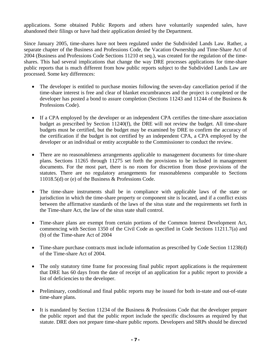applications. Some obtained Public Reports and others have voluntarily suspended sales, have abandoned their filings or have had their application denied by the Department.

Since January 2005, time-shares have not been regulated under the Subdivided Lands Law. Rather, a separate chapter of the Business and Professions Code, the Vacation Ownership and Time-Share Act of 2004 (Business and Professions Code Sections 11210 et seq.), was created for the regulation of the timeshares. This had several implications that change the way DRE processes applications for time-share public reports that is much different from how public reports subject to the Subdivided Lands Law are processed. Some key differences:

- The developer is entitled to purchase monies following the seven-day cancellation period if the time-share interest is free and clear of blanket encumbrances and the project is completed or the developer has posted a bond to assure completion (Sections 11243 and 11244 of the Business & Professions Code).
- If a CPA employed by the developer or an independent CPA certifies the time-share association budget as prescribed by Section 11240(f), the DRE will not review the budget. All time-share budgets must be certified, but the budget may be examined by DRE to confirm the accuracy of the certification if the budget is not certified by an independent CPA, a CPA employed by the developer or an individual or entity acceptable to the Commissioner to conduct the review.
- There are no reasonableness arrangements applicable to management documents for time-share plans. Sections 11265 through 11275 set forth the provisions to be included in management documents. For the most part, there is no room for discretion from those provisions of the statutes. There are no regulatory arrangements for reasonableness comparable to Sections 11018.5(d) or (e) of the Business & Professions Code.
- The time-share instruments shall be in compliance with applicable laws of the state or jurisdiction in which the time-share property or component site is located, and if a conflict exists between the affirmative standards of the laws of the situs state and the requirements set forth in the Time-share Act, the law of the situs state shall control.
- Time-share plans are exempt from certain portions of the Common Interest Development Act, commencing with Section 1350 of the Civil Code as specified in Code Sections 11211.7(a) and (b) of the Time-share Act of 2004
- Time-share purchase contracts must include information as prescribed by Code Section 11238(d) of the Time-share Act of 2004.
- The only statutory time frame for processing final public report applications is the requirement that DRE has 60 days from the date of receipt of an application for a public report to provide a list of deficiencies to the developer.
- Preliminary, conditional and final public reports may be issued for both in-state and out-of-state time-share plans.
- It is mandated by Section 11234 of the Business & Professions Code that the developer prepare the public report and that the public report include the specific disclosures as required by that statute. DRE does not prepare time-share public reports. Developers and SRPs should be directed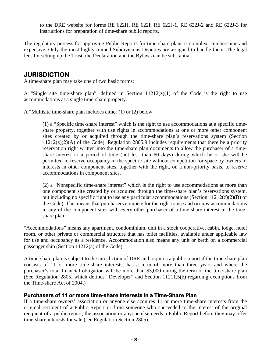to the DRE website for forms RE 622H, RE 622I, RE 622J-1, RE 622J-2 and RE 622J-3 for instructions for preparation of time-share public reports.

The regulatory process for approving Public Reports for time-share plans is complex, cumbersome and expensive. Only the most highly trained Subdivisions Deputies are assigned to handle them. The legal fees for setting up the Trust, the Declaration and the Bylaws can be substantial.

# **JURISDICTION**

A time-share plan may take one of two basic forms:

A "Single site time-share plan", defined in Section 11212(z)(1) of the Code is the right to use accommodations at a single time-share property.

A "Multisite time-share plan includes either (1) or (2) below:

accommodations in component sites. (1) a "Specific time-share interest" which is the right to use accommodations at a specific timeshare property, together with use rights in accommodations at one or more other component sites created by or acquired through the time-share plan's reservations system (Section  $11212(z)(2)(A)$  of the Code). Regulation 2805.9 includes requirements that there be a priority reservation right written into the time-share plan documents to allow the purchaser of a timeshare interest to a period of time (not less than 60 days) during which he or she will be permitted to reserve occupancy in the specific site without competition for space by owners of interests in other component sites, together with the right, on a non-priority basis, to reserve

 $(2)$  a "Nonspecific time-share interest" which is the right to use accommodations at more than one component site created by or acquired through the time-share plan's reservations system, but including no specific right to use any particular accommodations (Section  $11212(z)(2)(B)$  of the Code). This means that purchasers compete for the right to use and occupy accommodations in any of the component sites with every other purchaser of a time-share interest in the timeshare plan.

"Accommodations" means any apartment, condominium, unit in a stock cooperative, cabin, lodge, hotel room, or other private or commercial structure that has toilet facilities, available under applicable law for use and occupancy as a residence. Accommodation also means any unit or berth on a commercial passenger ship (Section 11212(a) of the Code).

A time-share plan is subject to the jurisdiction of DRE and requires a public report if the time-share plan consists of 11 or more time-share interests, has a term of more than three years and where the purchaser's total financial obligation will be more than \$3,000 during the term of the time-share plan (See Regulation 2805, which defines "Developer" and Section 11211.5(b) regarding exemptions from the Time-share Act of 2004.)

#### **Purchasers of 11 or more time-share interests in a Time-Share Plan**

If a time-share owners' association or anyone else acquires 11 or more time-share interests from the original recipient of a Public Report or from someone who succeeded to the interest of the original recipient of a public report, the association or anyone else needs a Public Report before they may offer time-share interests for sale (see Regulation Section 2805).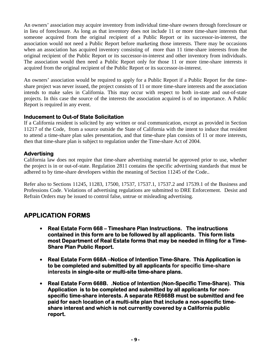An owners' association may acquire inventory from individual time-share owners through foreclosure or in lieu of foreclosure. As long as that inventory does not include 11 or more time-share interests that someone acquired from the original recipient of a Public Report or its successor-in-interest, the association would not need a Public Report before marketing those interests. There may be occasions when an association has acquired inventory consisting of more than 11 time-share interests from the original recipient of the Public Report or its successor-in-interest and other inventory from individuals. The association would then need a Public Report only for those 11 or more time-share interests it acquired from the original recipient of the Public Report or its successor-in-interest.

An owners' association would be required to apply for a Public Report if a Public Report for the timeshare project was never issued, the project consists of 11 or more time-share interests and the association intends to make sales in California. This may occur with respect to both in-state and out-of-state projects. In this case the source of the interests the association acquired is of no importance. A Public Report is required in any event.

### **Inducement to Out-of State Solicitation**

If a California resident is solicited by any written or oral communication, except as provided in Section 11217 of the Code, from a source outside the State of California with the intent to induce that resident to attend a time-share plan sales presentation, and that time-share plan consists of 11 or more interests, then that time-share plan is subject to regulation under the Time-share Act of 2004.

### **Advertising**

California law does not require that time-share advertising material be approved prior to use, whether the project is in or out-of-state. Regulation 2811 contains the specific advertising standards that must be adhered to by time-share developers within the meaning of Section 11245 of the Code..

Refer also to Sections 11245, 11283, 17500, 17537, 17537.1, 17537.2 and 17539.1 of the Business and Professions Code. Violations of advertising regulations are submitted to DRE Enforcement. Desist and Refrain Orders may be issued to control false, untrue or misleading advertising.

# **APPLICATION FORMS**

- **Real Estate Form 668 Timeshare Plan Instructions. The instructions contained in this form are to be followed by all applicants. This form lists most Department of Real Estate forms that may be needed in filing for a Time-Share Plan Public Report.**
- **Real Estate Form 668A –Notice of Intention Time-Share. This Application is to be completed and submitted by all applicants for specific time-share interests in single-site or multi-site time-share plans.**
- **Real Estate Form 668B. .Notice of Intention (Non-Specific Time-Share). This Application is to be completed and submitted by all applicants for nonspecific time-share interests. A separate RE668B must be submitted and fee paid for each location of a multi-site plan that include a non-specific timeshare interest and which is not currently covered by a California public report.**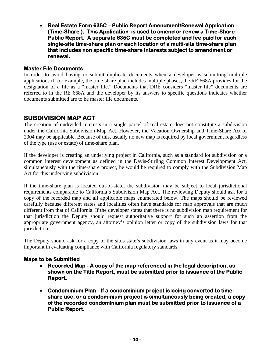• **Real Estate Form 635C – Public Report Amendment/Renewal Application (Time-Share ). This Application is used to amend or renew a Time-Share Public Report. A separate 635C must be completed and fee paid for each single-site time-share plan or each location of a multi-site time-share plan that includes non specific time-share interests subject to amendment or renewal.** 

#### **Master File Documents**

In order to avoid having to submit duplicate documents when a developer is submitting multiple applications if, for example, the time-share plan includes multiple phases, the RE 668A provides for the designation of a file as a "master file." Documents that DRE considers "master file" documents are referred to in the RE 668A and the developer by its answers to specific questions indicates whether documents submitted are to be master file documents.

# **SUBDIVISION MAP ACT**

The creation of undivided interests in a single parcel of real estate does not constitute a subdivision under the California Subdivision Map Act. However, the Vacation Ownership and Time-Share Act of 2004 may be applicable. Because of this, usually no new map is required by local government regardless of the type (use or estate) of time-share plan.

If the developer is creating an underlying project in California, such as a standard lot subdivision or a common interest development as defined in the Davis-Stirling Common Interest Development Act, simultaneously with the time-share project, he would be required to comply with the Subdivision Map Act for this underlying subdivision.

If the time-share plan is located out-of-state, the subdivision may be subject to local jurisdictional requirements comparable to California's Subdivision Map Act. The reviewing Deputy should ask for a copy of the recorded map and all applicable maps enumerated below. The maps should be reviewed carefully because different states and localities often have standards for map approvals that are much different from that of California. If the developer states that there is no subdivision map requirement for that jurisdiction the Deputy should request authoritative support for such an assertion from the appropriate government agency, an attorney's opinion letter or copy of the subdivision laws for that jurisdiction.

The Deputy should ask for a copy of the situs state's subdivision laws in any event as it may become important in evaluating compliance with California regulatory standards.

#### **Maps to be Submitted**

- **Recorded Map A copy of the map referenced in the legal description, as shown on the Title Report, must be submitted prior to issuance of the Public Report.**
- **Condominium Plan If a condominium project is being converted to timeshare use, or a condominium project is simultaneously being created, a copy of the recorded condominium plan must be submitted prior to issuance of a Public Report.**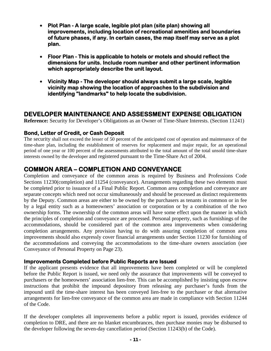- **Plot Plan A large scale, legible plot plan (site plan) showing all improvements, including location of recreational amenities and boundaries of future phases, if any. In certain cases, the map itself may serve as a plot plan.**
- **Floor Plan This is applicable to hotels or motels and should reflect the dimensions for units. Include room number and other pertinent information which appropriately describe the unit layout.**
- **Vicinity Map The developer should always submit a large scale, legible vicinity map showing the location of approaches to the subdivision and identifying "landmarks" to help locate the subdivision.**

# **DEVELOPER MAINTENANCE AND ASSESSMENT EXPENSE OBLIGATION**

**Reference:** Security for Developer's Obligations as an Owner of Time-Share Interests. (Section 11241)

### **Bond, Letter of Credit, or Cash Deposit**

The security shall not exceed the lesser of 50 percent of the anticipated cost of operation and maintenance of the time-share plan, including the establishment of reserves for replacement and major repair, for an operational period of one year or 100 percent of the assessments attributed to the total amount of the total unsold time-share interests owned by the developer and registered pursuant to the Time-Share Act of 2004.

# **COMMON AREA – COMPLETION AND CONVEYANCE**

Completion and conveyance of the common areas is required by Business and Professions Code Sections 11230(completion) and 11254 (conveyance). Arrangements regarding these two elements must be completed prior to issuance of a Final Public Report. Common area completion and conveyance are separate concepts which need not occur simultaneously and should be processed as distinct requirements by the Deputy. Common areas are either to be owned by the purchasers as tenants in common or in fee by a legal entity such as a homeowners' association or corporation or by a combination of the two ownership forms. The ownership of the common areas will have some effect upon the manner in which the principles of completion and conveyance are processed. Personal property, such as furnishings of the accommodations, should be considered part of the common area improvements when considering completion arrangements. Any provision having to do with assuring completion of common area improvements should also expressly cover financial arrangements under Section 11230 for furnishing of the accommodations and conveying the accommodations to the time-share owners association (see Conveyance of Personal Property on Page 23).

#### **Improvements Completed before Public Reports are Issued**

If the applicant presents evidence that all improvements have been completed or will be completed before the Public Report is issued, we need only the assurance that improvements will be conveyed to purchasers or the homeowners' association lien-free. This can be accomplished by insisting upon escrow instructions that prohibit the impound depository from releasing any purchaser's funds from the impound until the time-share interest has been conveyed lien-free to the purchaser or that alternative arrangements for lien-free conveyance of the common area are made in compliance with Section 11244 of the Code.

If the developer completes all improvements before a public report is issued, provides evidence of completion to DRE, and there are no blanket encumbrances, then purchase monies may be disbursed to the developer following the seven-day cancellation period (Section 11243(b) of the Code).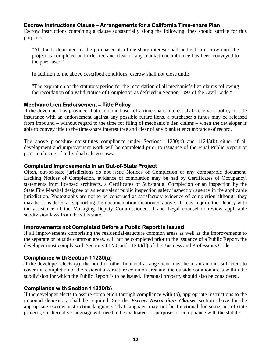### **Escrow Instructions Clause – Arrangements for a California Time-share Plan**

Escrow instructions containing a clause substantially along the following lines should suffice for this purpose:

"All funds deposited by the purchaser of a time-share interest shall be held in escrow until the project is completed and title free and clear of any blanket encumbrance has been conveyed to the purchaser."

In addition to the above described conditions, escrow shall not close until:

"The expiration of the statutory period for the recordation of all mechanic's lien claims following the recordation of a valid Notice of Completion as defined in Section 3093 of the Civil Code."

#### **Mechanic Lien Endorsement – Title Policy**

If the developer has provided that each purchaser of a time-share interest shall receive a policy of title insurance with an endorsement against any possible future liens, a purchaser's funds may be released from impound – without regard to the time for filing of mechanic's lien claims – when the developer is able to convey title to the time-share interest free and clear of any blanket encumbrance of record.

The above procedure constitutes compliance under Sections 11230(b) and 11243(b) either if all development and improvement work will be completed prior to issuance of the Final Public Report or prior to closing of individual sale escrows.

### **Completed Improvements in an Out-of-State Project**

Often, out-of-state jurisdictions do not issue Notices of Completion or any comparable document. Lacking Notices of Completion, evidence of completion may be had by Certificates of Occupancy, statements from licensed architects, a Certificates of Substantial Completion or an inspection by the State Fire Marshal designee or an equivalent public inspection safety inspection agency in the applicable jurisdiction. Photographs are not to be construed as satisfactory evidence of completion although they may be considered as supporting the documentation mentioned above. It may require the Deputy with the assistance of the Managing Deputy Commissioner III and Legal counsel to review applicable subdivision laws from the situs state.

### **Improvements not Completed Before a Public Report is Issued**

If all improvements comprising the residential-structure common areas as well as the improvements to the separate or outside common areas, will not be completed prior to the issuance of a Public Report, the developer must comply with Sections 11230 and 11243(b) of the Business and Professions Code.

### **Compliance with Section 11230(a)**

If the developer elects (a), the bond or other financial arrangement must be in an amount sufficient to cover the completion of the residential-structure common area and the outside common areas within the subdivision for which the Public Report is to be issued. Personal property should also be considered.

### **Compliance with Section 11230(b)**

If the developer elects to assure completion through compliance with (b), appropriate instructions to the impound depository shall be required. See the *Escrow Instructions Clause*s section above for the appropriate escrow instruction language. That language may not be functional for some out-of-state projects, so alternative language will need to be evaluated for purposes of compliance with the statute.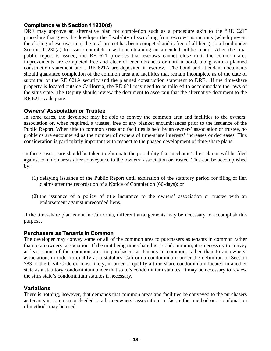### **Compliance with Section 11230(d)**

DRE may approve an alternative plan for completion such as a procedure akin to the "RE 621" procedure that gives the developer the flexibility of switching from escrow instructions (which prevent the closing of escrows until the total project has been competed and is free of all liens), to a bond under Section 11230(a) to assure completion without obtaining an amended public report. After the final public report is issued, the RE 621 provides that escrows cannot close until the common area improvements are completed free and clear of encumbrances or until a bond, along with a planned construction statement and a RE 621A are deposited in escrow. The bond and attendant documents should guarantee completion of the common area and facilities that remain incomplete as of the date of submittal of the RE 621A security and the planned construction statement to DRE. If the time-share property is located outside California, the RE 621 may need to be tailored to accommodate the laws of the situs state. The Deputy should review the document to ascertain that the alternative document to the RE 621 is adequate.

#### **Owners' Association or Trustee**

In some cases, the developer may be able to convey the common area and facilities to the owners' association or, when required, a trustee, free of any blanket encumbrances prior to the issuance of the Public Report. When title to common areas and facilities is held by an owners' association or trustee, no problems are encountered as the number of owners of time-share interests' increases or decreases. This consideration is particularly important with respect to the phased development of time-share plans.

In these cases, care should be taken to eliminate the possibility that mechanic's lien claims will be filed against common areas after conveyance to the owners' association or trustee. This can be accomplished by:

- (1) delaying issuance of the Public Report until expiration of the statutory period for filing of lien claims after the recordation of a Notice of Completion (60-days); or
- (2) the issuance of a policy of title insurance to the owners' association or trustee with an endorsement against unrecorded liens.

If the time-share plan is not in California, different arrangements may be necessary to accomplish this purpose.

#### **Purchasers as Tenants in Common**

The developer may convey some or all of the common area to purchasers as tenants in common rather than to an owners' association. If the unit being time-shared is a condominium, it is necessary to convey at least some of the common area to purchasers as tenants in common, rather than to an owners' association, in order to qualify as a statutory California condominium under the definition of Section 783 of the Civil Code or, most likely, in order to qualify a time-share condominium located in another state as a statutory condominium under that state's condominium statutes. It may be necessary to review the situs state's condominium statutes if necessary.

### **Variations**

There is nothing, however, that demands that common areas and facilities be conveyed to the purchasers as tenants in common or deeded to a homeowners' association. In fact, either method or a combination of methods may be used.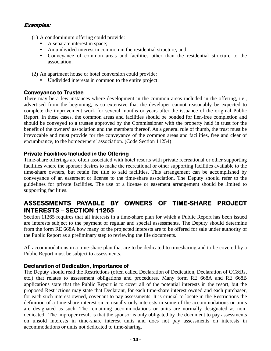### **Examples:**

- (1) A condominium offering could provide:
	- A separate interest in space:
	- An undivided interest in common in the residential structure; and
	- Conveyance of common areas and facilities other than the residential structure to the association.
- (2) An apartment house or hotel conversion could provide:
	- Undivided interests in common to the entire project.

### **Conveyance to Trustee**

There may be a few instances where development in the common areas included in the offering, i.e., advertised from the beginning, is so extensive that the developer cannot reasonably be expected to complete the improvement work for several months or years after the issuance of the original Public Report. In these cases, the common areas and facilities should be bonded for lien-free completion and should be conveyed to a trustee approved by the Commissioner with the property held in trust for the benefit of the owners' association and the members thereof. As a general rule of thumb, the trust must be irrevocable and must provide for the conveyance of the common areas and facilities, free and clear of encumbrance, to the homeowners' association. (Code Section 11254)

### **Private Facilities Included in the Offering**

Time-share offerings are often associated with hotel resorts with private recreational or other supporting facilities where the sponsor desires to make the recreational or other supporting facilities available to the time-share owners, but retain fee title to said facilities. This arrangement can be accomplished by conveyance of an easement or license to the time-share association. The Deputy should refer to the guidelines for private facilities. The use of a license or easement arrangement should be limited to supporting facilities.

# **ASSESSMENTS PAYABLE BY OWNERS OF TIME-SHARE PROJECT INTERESTS – SECTION 11265**

Section 11265 requires that all interests in a time-share plan for which a Public Report has been issued are interests subject to the payment of regular and special assessments. The Deputy should determine from the form RE 668A how many of the projected interests are to be offered for sale under authority of the Public Report as a preliminary step to reviewing the file documents.

All accommodations in a time-share plan that are to be dedicated to timesharing and to be covered by a Public Report must be subject to assessments.

#### **Declaration of Dedication, Importance of**

The Deputy should read the Restrictions (often called Declaration of Dedication, Declaration of CC&Rs, etc.) that relates to assessment obligations and procedures. Many form RE 668A and RE 668B applications state that the Public Report is to cover all of the potential interests in the resort, but the proposed Restrictions may state that Declarant, for each time-share interest owned and each purchaser, for each such interest owned, covenant to pay assessments. It is crucial to locate in the Restrictions the definition of a time-share interest since usually only interests in some of the accommodations or units are designated as such. The remaining accommodations or units are normally designated as nondedicated. The improper result is that the sponsor is only obligated by the document to pay assessments on unsold interests in time-share interest units and does not pay assessments on interests in accommodations or units not dedicated to time-sharing.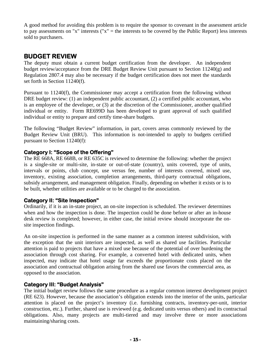A good method for avoiding this problem is to require the sponsor to covenant in the assessment article to pay assessments on "x" interests ("x" = the interests to be covered by the Public Report) less interests sold to purchasers.

# **BUDGET REVIEW**

The deputy must obtain a current budget certification from the developer. An independent budget review/acceptance from the DRE Budget Review Unit pursuant to Section  $11240(g)$  and Regulation 2807.4 may also be necessary if the budget certification does not meet the standards set forth in Section 11240(f).

Pursuant to 11240(f), the Commissioner may accept a certification from the following without DRE budget review: (1) an independent public accountant, (2) a certified public accountant, who is an employee of the developer, or (3) at the discretion of the Commissioner, another qualified individual or entity. Form RE699D has been developed to grant approval of such qualified individual or entity to prepare and certify time-share budgets.

The following "Budget Review" information, in part, covers areas commonly reviewed by the Budget Review Unit (BRU). This information is not-intended to apply to budgets certified pursuant to Section 11240(f):

# **Category I: "Scope of the Offering"**

The RE 668A, RE 668B, or RE 635C is reviewed to determine the following: whether the project is a single-site or multi-site, in-state or out-of-state (country), units covered, type of units, intervals or points, club concept, use versus fee, number of interests covered, mixed use, inventory, existing association, completion arrangements, third-party contractual obligations, subsidy arrangement, and management obligation. Finally, depending on whether it exists or is to be built, whether utilities are available or to be charged to the association.

### **Category II: "Site Inspection"**

Ordinarily, if it is an in-state project, an on-site inspection is scheduled. The reviewer determines when and how the inspection is done. The inspection could be done before or after an in-house desk review is completed; however, in either case, the initial review should incorporate the onsite inspection findings.

An on-site inspection is performed in the same manner as a common interest subdivision, with the exception that the unit interiors are inspected, as well as shared use facilities. Particular attention is paid to projects that have a mixed use because of the potential of over burdening the association through cost sharing. For example, a converted hotel with dedicated units, when inspected, may indicate that hotel usage far exceeds the proportionate costs placed on the association and contractual obligation arising from the shared use favors the commercial area, as opposed to the association.

### **Category III: "Budget Analysis"**

The initial budget review follows the same procedure as a regular common interest development project (RE 623). However, because the association's obligation extends into the interior of the units, particular attention is placed on the project's inventory (i.e. furnishing contracts, inventory-per-unit, interior construction, etc.). Further, shared use is reviewed (e.g. dedicated units versus others) and its contractual obligations. Also, many projects are multi-tiered and may involve three or more associations maintaining/sharing costs.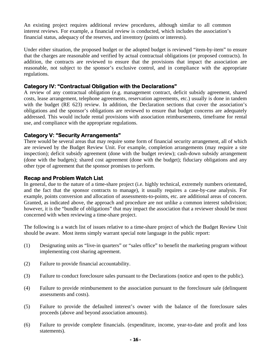An existing project requires additional review procedures, although similar to all common interest reviews. For example, a financial review is conducted, which includes the association's financial status, adequacy of the reserves, and inventory (points or interests).

Under either situation, the proposed budget or the adopted budget is reviewed "item-by-item" to ensure that the charges are reasonable and verified by actual contractual obligations (or proposed contracts). In addition, the contracts are reviewed to ensure that the provisions that impact the association are reasonable, not subject to the sponsor's exclusive control, and in compliance with the appropriate regulations.

#### **Category IV: "Contractual Obligation with the Declarations"**

A review of any contractual obligation (e.g. management contract, deficit subsidy agreement, shared costs, lease arrangement, telephone agreements, reservation agreements, etc.) usually is done in tandem with the budget (RE 623) review. In addition, the Declaration sections that cover the association's obligations and the sponsor's obligations are reviewed to ensure that budget concerns are adequately addressed. This would include rental provisions with association reimbursements, timeframe for rental use, and compliance with the appropriate regulations.

### **Category V: "Security Arrangements"**

There would be several areas that may require some form of financial security arrangement, all of which are reviewed by the Budget Review Unit. For example, completion arrangements (may require a site inspection); deficit subsidy agreement (done with the budget review); cash-down subsidy arrangement (done with the budgets); shared cost agreement (done with the budget); fiduciary obligations and any other type of agreement that the sponsor promises to perform.

### **Recap and Problem Watch List**

In general, due to the nature of a time-share project (i.e. highly technical, extremely numbers orientated, and the fact that the sponsor contracts to manage), it usually requires a case-by-case analysis. For example, points conversion and allocation of assessments-to-points, etc. are additional areas of concern. Granted, as indicated above, the approach and procedure are not unlike a common interest subdivision; however, it is the "bundle of obligations" that may impact the association that a reviewer should be most concerned with when reviewing a time-share project.

The following is a watch list of issues relative to a time-share project of which the Budget Review Unit should be aware. Most items simply warrant special note language in the public report:

- (1) Designating units as "live-in quarters" or "sales office" to benefit the marketing program without implementing cost sharing agreement.
- (2) Failure to provide financial accountability.
- (3) Failure to conduct foreclosure sales pursuant to the Declarations (notice and open to the public).
- (4) Failure to provide reimbursement to the association pursuant to the foreclosure sale (delinquent assessments and costs).
- (5) Failure to provide the defaulted interest's owner with the balance of the foreclosure sales proceeds (above and beyond association amounts).
- (6) Failure to provide complete financials. (expenditure, income, year-to-date and profit and loss statements).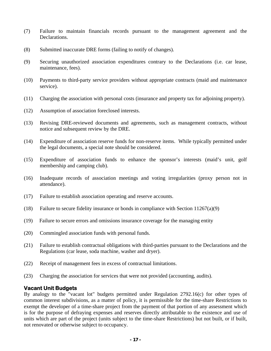- (7) Failure to maintain financials records pursuant to the management agreement and the Declarations.
- (8) Submitted inaccurate DRE forms (failing to notify of changes).
- (9) Securing unauthorized association expenditures contrary to the Declarations (i.e. car lease, maintenance, fees).
- (10) Payments to third-party service providers without appropriate contracts (maid and maintenance service).
- (11) Charging the association with personal costs (insurance and property tax for adjoining property).
- (12) Assumption of association foreclosed interests.
- (13) Revising DRE-reviewed documents and agreements, such as management contracts, without notice and subsequent review by the DRE.
- (14) Expenditure of association reserve funds for non-reserve items. While typically permitted under the legal documents, a special note should be considered.
- (15) Expenditure of association funds to enhance the sponsor's interests (maid's unit, golf membership and camping club).
- (16) Inadequate records of association meetings and voting irregularities (proxy person not in attendance).
- (17) Failure to establish association operating and reserve accounts.
- (18) Failure to secure fidelity insurance or bonds in compliance with Section 11267(a)(9)
- (19) Failure to secure errors and omissions insurance coverage for the managing entity
- (20) Commingled association funds with personal funds.
- (21) Failure to establish contractual obligations with third-parties pursuant to the Declarations and the Regulations (car lease, soda machine, washer and dryer).
- (22) Receipt of management fees in excess of contractual limitations.
- (23) Charging the association for services that were not provided (accounting, audits).

#### **Vacant Unit Budgets**

By analogy to the "vacant lot" budgets permitted under Regulation 2792.16(c) for other types of common interest subdivisions, as a matter of policy, it is permissible for the time-share Restrictions to exempt the developer of a time-share project from the payment of that portion of any assessment which is for the purpose of defraying expenses and reserves directly attributable to the existence and use of units which are part of the project (units subject to the time-share Restrictions) but not built, or if built, not renovated or otherwise subject to occupancy.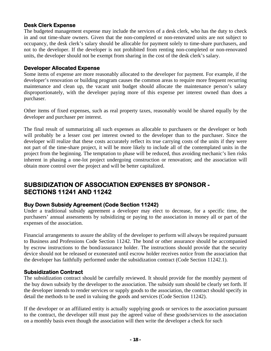### **Desk Clerk Expense**

The budgeted management expense may include the services of a desk clerk, who has the duty to check in and out time-share owners. Given that the non-completed or non-renovated units are not subject to occupancy, the desk clerk's salary should be allocable for payment solely to time-share purchasers, and not to the developer. If the developer is not prohibited from renting non-completed or non-renovated units, the developer should not be exempt from sharing in the cost of the desk clerk's salary.

#### **Developer Allocated Expense**

Some items of expense are more reasonably allocated to the developer for payment. For example, if the developer's renovation or building program causes the common areas to require more frequent recurring maintenance and clean up, the vacant unit budget should allocate the maintenance person's salary disproportionately, with the developer paying more of this expense per interest owned than does a purchaser.

Other items of fixed expenses, such as real property taxes, reasonably would be shared equally by the developer and purchaser per interest.

The final result of summarizing all such expenses as allocable to purchasers or the developer or both will probably be a lesser cost per interest owned to the developer than to the purchaser. Since the developer will realize that these costs accurately reflect its true carrying costs of the units if they were not part of the time-share project, it will be more likely to include all of the contemplated units in the project from the beginning. The temptation to phase will be reduced, thus avoiding mechanic's lien risks inherent in phasing a one-lot project undergoing construction or renovation; and the association will obtain more control over the project and will be better capitalized.

# **SUBSIDIZATION OF ASSOCIATION EXPENSES BY SPONSOR - SECTIONS 11241 AND 11242**

### **Buy Down Subsidy Agreement (Code Section 11242)**

Under a traditional subsidy agreement a developer may elect to decrease, for a specific time, the purchasers' annual assessments by subsidizing or paying to the association in money all or part of the expenses of the association.

Financial arrangements to assure the ability of the developer to perform will always be required pursuant to Business and Professions Code Section 11242. The bond or other assurance should be accompanied by escrow instructions to the bond/assurance holder. The instructions should provide that the security device should not be released or exonerated until escrow holder receives notice from the association that the developer has faithfully performed under the subsidization contract (Code Section 11242.1).

### **Subsidization Contract**

The subsidization contract should be carefully reviewed. It should provide for the monthly payment of the buy down subsidy by the developer to the association. The subsidy sum should be clearly set forth. If the developer intends to render services or supply goods to the association, the contract should specify in detail the methods to be used in valuing the goods and services (Code Section 11242).

If the developer or an affiliated entity is actually supplying goods or services to the association pursuant to the contract, the developer still must pay the agreed value of these goods/services to the association on a monthly basis even though the association will then write the developer a check for such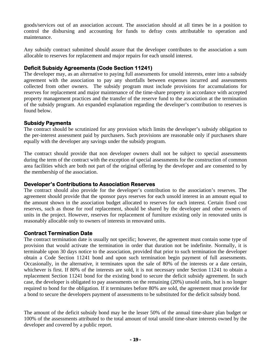goods/services out of an association account. The association should at all times be in a position to control the disbursing and accounting for funds to defray costs attributable to operation and maintenance.

Any subsidy contract submitted should assure that the developer contributes to the association a sum allocable to reserves for replacement and major repairs for each unsold interest.

### **Deficit Subsidy Agreements (Code Section 11241)**

The developer may, as an alternative to paying full assessments for unsold interests, enter into a subsidy agreement with the association to pay any shortfalls between expenses incurred and assessments collected from other owners. The subsidy program must include provisions for accumulations for reserves for replacement and major maintenance of the time-share property in accordance with accepted property management practices and the transfer of the reserve fund to the association at the termination of the subsidy program. An expanded explanation regarding the developer's contribution to reserves is found below.

#### **Subsidy Payments**

The contract should be scrutinized for any provision which limits the developer's subsidy obligation to the per-interest assessment paid by purchasers. Such provisions are reasonable only if purchasers share equally with the developer any savings under the subsidy program.

The contract should provide that non developer owners shall not be subject to special assessments during the term of the contract with the exception of special assessments for the construction of common area facilities which are both not part of the original offering by the developer and are consented to by the membership of the association.

#### **Developer's Contributions to Association Reserves**

The contract should also provide for the developer's contribution to the association's reserves. The agreement should provide that the sponsor pays reserves for each unsold interest in an amount equal to the amount shown in the association budget allocated to reserves for each interest. Certain fixed cost reserves, such as those for roof replacement, should be shared by the developer and other owners of units in the project. However, reserves for replacement of furniture existing only in renovated units is reasonably allocable only to owners of interests in renovated units.

### **Contract Termination Date**

The contract termination date is usually not specific; however, the agreement must contain some type of provision that would activate the termination in order that duration not be indefinite. Normally, it is terminable upon 30 days notice to the association, provided that prior to such termination the developer obtain a Code Section 11241 bond and upon such termination begin payment of full assessments. Occasionally, in the alternative, it terminates upon the sale of 80% of the interests or a date certain, whichever is first. If 80% of the interests are sold, it is not necessary under Section 11241 to obtain a replacement Section 11241 bond for the existing bond to secure the deficit subsidy agreement. In such case, the developer is obligated to pay assessments on the remaining (20%) unsold units, but is no longer required to bond for the obligation. If it terminates before 80% are sold, the agreement must provide for a bond to secure the developers payment of assessments to be substituted for the deficit subsidy bond.

The amount of the deficit subsidy bond may be the lesser 50% of the annual time-share plan budget or 100% of the assessments attributed to the total amount of total unsold time-share interests owned by the developer and covered by a public report.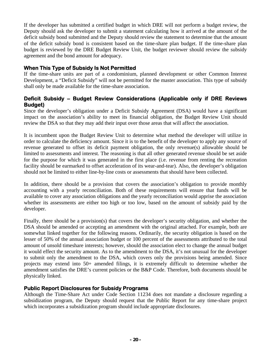If the developer has submitted a certified budget in which DRE will not perform a budget review, the Deputy should ask the developer to submit a statement calculating how it arrived at the amount of the deficit subsidy bond submitted and the Deputy should review the statement to determine that the amount of the deficit subsidy bond is consistent based on the time-share plan budget. If the time-share plan budget is reviewed by the DRE Budget Review Unit, the budget reviewer should review the subsidy agreement and the bond amount for adequacy.

### **When This Type of Subsidy Is Not Permitted**

If the time-share units are part of a condominium, planned development or other Common Interest Development, a "Deficit Subsidy" will not be permitted for the master association. This type of subsidy shall only be made available for the time-share association.

### **Deficit Subsidy – Budget Review Considerations (Applicable only if DRE Reviews Budget)**

Since the developer's obligation under a Deficit Subsidy Agreement (DSA) would have a significant impact on the association's ability to meet its financial obligation, the Budget Review Unit should review the DSA so that they may add their input over those areas that will affect the association.

It is incumbent upon the Budget Review Unit to determine what method the developer will utilize in order to calculate the deficiency amount. Since it is to the benefit of the developer to apply any source of revenue generated to offset its deficit payment obligation, the only revenue(s) allowable should be limited to assessments and interest. The reasoning is that all other generated revenue should be set aside for the purpose for which it was generated in the first place (i.e. revenue from renting the recreation facility should be earmarked to offset acceleration of its wear-and-tear). Also, the developer's obligation should not be limited to either line-by-line costs or assessments that should have been collected.

In addition, there should be a provision that covers the association's obligation to provide monthly accounting with a yearly reconciliation. Both of these requirements will ensure that funds will be available to cover any association obligations and the yearly reconciliation would apprise the association whether its assessments are either too high or too low, based on the amount of subsidy paid by the developer.

Finally, there should be a provision(s) that covers the developer's security obligation, and whether the DSA should be amended or accepting an amendment with the original attached. For example, both are somewhat linked together for the following reasons. Ordinarily, the security obligation is based on the lesser of 50% of the annual association budget or 100 percent of the assessments attributed to the total amount of unsold timeshare interests; however, should the association elect to change the annual budget it would effect the security amount. As to the amendment to the DSA, it's not unusual for the developer to submit only the amendment to the DSA, which covers only the provisions being amended. Since projects may extend into 50+ amended filings, it is extremely difficult to determine whether the amendment satisfies the DRE's current policies or the B&P Code. Therefore, both documents should be physically linked.

### **Public Report Disclosures for Subsidy Programs**

Although the Time-Share Act under Code Section 11234 does not mandate a disclosure regarding a subsidization program, the Deputy should request that the Public Report for any time-share project which incorporates a subsidization program should include appropriate disclosures.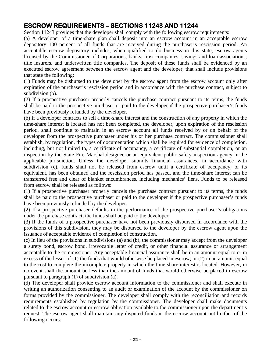# **ESCROW REQUIREMENTS – SECTIONS 11243 AND 11244**

Section 11243 provides that the developer shall comply with the following escrow requirements:

(a) A developer of a time-share plan shall deposit into an escrow account in an acceptable escrow depository 100 percent of all funds that are received during the purchaser's rescission period. An acceptable escrow depository includes, when qualified to do business in this state, escrow agents licensed by the Commissioner of Corporations, banks, trust companies, savings and loan associations, title insurers, and underwritten title companies. The deposit of these funds shall be evidenced by an executed escrow agreement between the escrow agent and the developer, that shall include provisions that state the following:

(1) Funds may be disbursed to the developer by the escrow agent from the escrow account only after expiration of the purchaser's rescission period and in accordance with the purchase contract, subject to subdivision (b).

(2) If a prospective purchaser properly cancels the purchase contract pursuant to its terms, the funds shall be paid to the prospective purchaser or paid to the developer if the prospective purchaser's funds have been previously refunded by the developer.

(b) If a developer contracts to sell a time-share interest and the construction of any property in which the time-share interest is located has not been completed, the developer, upon expiration of the rescission period, shall continue to maintain in an escrow account all funds received by or on behalf of the developer from the prospective purchaser under his or her purchase contract. The commissioner shall establish, by regulation, the types of documentation which shall be required for evidence of completion, including, but not limited to, a certificate of occupancy, a certificate of substantial completion, or an inspection by the State Fire Marshal designee or an equivalent public safety inspection agency in the applicable jurisdiction. Unless the developer submits financial assurances, in accordance with subdivision (c), funds shall not be released from escrow until a certificate of occupancy, or its equivalent, has been obtained and the rescission period has passed, and the time-share interest can be transferred free and clear of blanket encumbrances, including mechanics' liens. Funds to be released from escrow shall be released as follows:

(1) If a prospective purchaser properly cancels the purchase contract pursuant to its terms, the funds shall be paid to the prospective purchaser or paid to the developer if the prospective purchaser's funds have been previously refunded by the developer.

(2) If a prospective purchaser defaults in the performance of the prospective purchaser's obligations under the purchase contract, the funds shall be paid to the developer.

(3) If the funds of a prospective purchaser have not been previously disbursed in accordance with the provisions of this subdivision, they may be disbursed to the developer by the escrow agent upon the issuance of acceptable evidence of completion of construction.

(c) In lieu of the provisions in subdivisions (a) and (b), the commissioner may accept from the developer a surety bond, escrow bond, irrevocable letter of credit, or other financial assurance or arrangement acceptable to the commissioner. Any acceptable financial assurance shall be in an amount equal to or in excess of the lesser of (1) the funds that would otherwise be placed in escrow, or (2) in an amount equal to the cost to complete the incomplete property in which the time-share interest is located. However, in no event shall the amount be less than the amount of funds that would otherwise be placed in escrow pursuant to paragraph (1) of subdivision (a).

(d) The developer shall provide escrow account information to the commissioner and shall execute in writing an authorization consenting to an audit or examination of the account by the commissioner on forms provided by the commissioner. The developer shall comply with the reconciliation and records requirements established by regulation by the commissioner. The developer shall make documents related to the escrow account or escrow obligation available to the commissioner upon the department's request. The escrow agent shall maintain any disputed funds in the escrow account until either of the following occurs: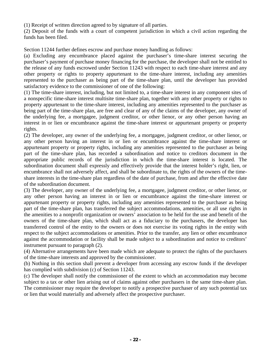(1) Receipt of written direction agreed to by signature of all parties.

(2) Deposit of the funds with a court of competent jurisdiction in which a civil action regarding the funds has been filed.

Section 11244 further defines escrow and purchase money handling as follows:

(a) Excluding any encumbrance placed against the purchaser's time-share interest securing the purchaser's payment of purchase money financing for the purchase, the developer shall not be entitled to the release of any funds escrowed under Section 11243 with respect to each time-share interest and any other property or rights to property appurtenant to the time-share interest, including any amenities represented to the purchaser as being part of the time-share plan, until the developer has provided satisfactory evidence to the commissioner of one of the following:

(1) The time-share interest, including, but not limited to, a time-share interest in any component sites of a nonspecific time-share interest multisite time-share plan, together with any other property or rights to property appurtenant to the time-share interest, including any amenities represented to the purchaser as being part of the time-share plan, are free and clear of any of the claims of the developer, any owner of the underlying fee, a mortgagee, judgment creditor, or other lienor, or any other person having an interest in or lien or encumbrance against the time-share interest or appurtenant property or property rights.

(2) The developer, any owner of the underlying fee, a mortgagee, judgment creditor, or other lienor, or any other person having an interest in or lien or encumbrance against the time-share interest or appurtenant property or property rights, including any amenities represented to the purchaser as being part of the time-share plan, has recorded a subordination and notice to creditors document in the appropriate public records of the jurisdiction in which the time-share interest is located. The subordination document shall expressly and effectively provide that the interest holder's right, lien, or encumbrance shall not adversely affect, and shall be subordinate to, the rights of the owners of the timeshare interests in the time-share plan regardless of the date of purchase, from and after the effective date of the subordination document.

(3) The developer, any owner of the underlying fee, a mortgagee, judgment creditor, or other lienor, or any other person having an interest in or lien or encumbrance against the time-share interest or appurtenant property or property rights, including any amenities represented to the purchaser as being part of the time-share plan, has transferred the subject accommodations, amenities, or all use rights in the amenities to a nonprofit organization or owners' association to be held for the use and benefit of the owners of the time-share plan, which shall act as a fiduciary to the purchasers, the developer has transferred control of the entity to the owners or does not exercise its voting rights in the entity with respect to the subject accommodations or amenities. Prior to the transfer, any lien or other encumbrance against the accommodation or facility shall be made subject to a subordination and notice to creditors' instrument pursuant to paragraph (2).

(4) Alternative arrangements have been made which are adequate to protect the rights of the purchasers of the time-share interests and approved by the commissioner.

(b) Nothing in this section shall prevent a developer from accessing any escrow funds if the developer has complied with subdivision (c) of Section 11243.

 or lien that would materially and adversely affect the prospective purchaser. (c) The developer shall notify the commissioner of the extent to which an accommodation may become subject to a tax or other lien arising out of claims against other purchasers in the same time-share plan. The commissioner may require the developer to notify a prospective purchaser of any such potential tax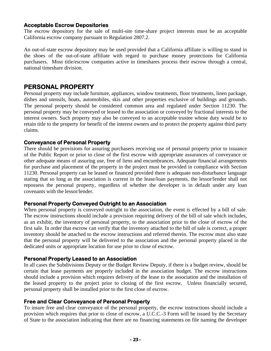#### **Acceptable Escrow Depositories**

The escrow depository for the sale of multi-site time-share project interests must be an acceptable California escrow company pursuant to Regulation 2807.2.

An out-of-state escrow depository may be used provided that a California affiliate is willing to stand in the shoes of the out-of-state affiliate with regard to purchase money protections for California purchasers. Most title/escrow companies active in timeshares process their escrow through a central, national timeshare division.

# **PERSONAL PROPERTY**

Personal property may include furniture, appliances, window treatments, floor treatments, linen package, dishes and utensils, boats, automobiles, skis and other properties exclusive of buildings and grounds. The personal property should be considered common area and regulated under Section 11230. The personal property may be conveyed or leased to the association or conveyed by fractional interests to the interest owners. Such property may also be conveyed to an acceptable trustee whose duty would be to retain title to the property for benefit of the interest owners and to protect the property against third party claims.

### **Conveyance of Personal Property**

There should be provisions for assuring purchasers receiving use of personal property prior to issuance of the Public Report or prior to close of the first escrow with appropriate assurances of conveyance or other adequate means of assuring use, free of liens and encumbrances. Adequate financial arrangements for purchase and placement of the property in the project must be provided in compliance with Section 11230. Personal property can be leased or financed provided there is adequate non-disturbance language stating that so long as the association is current in the lease/loan payments, the lessor/lender shall not repossess the personal property, regardless of whether the developer is in default under any loan covenants with the lessor/lender.

#### **Personal Property Conveyed Outright to an Association**

When personal property is conveyed outright to the association, the event is effected by a bill of sale. The escrow instructions should include a provision requiring delivery of the bill of sale which includes, as an exhibit, the inventory of personal property, to the association prior to the close of escrow of the first sale. In order that escrow can verify that the inventory attached to the bill of sale is correct, a proper inventory should be attached to the escrow instructions and referred therein. The escrow must also state that the personal property will be delivered to the association and the personal property placed in the dedicated units or appropriate location for use prior to close of escrow.

#### **Personal Property Leased to an Association**

In all cases the Subdivisions Deputy or the Budget Review Deputy, if there is a budget review, should be certain that lease payments are properly included in the association budget. The escrow instructions should include a provision which requires delivery of the lease to the association and the installation of the leased property to the project prior to closing of the first escrow. Unless financially secured, personal property shall be installed prior to the first close of escrow.

#### **Free and Clear Conveyance of Personal Property**

To insure free and clear conveyance of the personal property, the escrow instructions should include a provision which requires that prior to close of escrow, a U.C.C.-3 Form will be issued by the Secretary of State to the association indicating that there are no financing statements on file naming the developer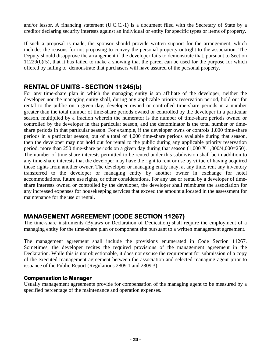and/or lessor. A financing statement (U.C.C.-1) is a document filed with the Secretary of State by a creditor declaring security interests against an individual or entity for specific types or items of property.

If such a proposal is made, the sponsor should provide written support for the arrangement, which includes the reasons for not proposing to convey the personal property outright to the association. The Deputy should disapprove the arrangement if the developer fails to demonstrate that, pursuant to Section 11229(b)(5), that it has failed to make a showing that the parcel can be used for the purpose for which offered by failing to demonstrate that purchasers will have assured of the personal property.

# **RENTAL OF UNITS - SECTION 11245(b)**

For any time-share plan in which the managing entity is an affiliate of the developer, neither the developer nor the managing entity shall, during any applicable priority reservation period, hold out for rental to the public on a given day, developer owned or controlled time-share periods in a number greater than the total number of time-share periods owned or controlled by the developer in a particular season, multiplied by a fraction wherein the numerator is the number of time-share periods owned or controlled by the developer in that particular season, and the denominator is the total number or timeshare periods in that particular season. For example, if the developer owns or controls 1,000 time-share periods in a particular season, out of a total of 4,000 time-share periods available during that season, then the developer may not hold out for rental to the public during any applicable priority reservation period, more than 250 time-share periods on a given day during that season (1,000 X 1,000/4,000=250). The number of time-share interests permitted to be rented under this subdivision shall be in addition to any time-share interests that the developer may have the right to rent or use by virtue of having acquired those rights from another owner. The developer or managing entity may, at any time, rent any inventory transferred to the developer or managing entity by another owner in exchange for hotel accommodations, future use rights, or other considerations. For any use or rental by a developer of timeshare interests owned or controlled by the developer, the developer shall reimburse the association for any increased expenses for housekeeping services that exceed the amount allocated in the assessment for maintenance for the use or rental.

# **MANAGEMENT AGREEMENT (CODE SECTION 11267)**

The time-share instruments (Bylaws or Declaration of Dedication) shall require the employment of a managing entity for the time-share plan or component site pursuant to a written management agreement.

The management agreement shall include the provisions enumerated in Code Section 11267. Sometimes, the developer recites the required provisions of the management agreement in the Declaration. While this is not objectionable, it does not excuse the requirement for submission of a copy of the executed management agreement between the association and selected managing agent prior to issuance of the Public Report (Regulations 2809.1 and 2809.3).

#### **Compensation to Manager**

Usually management agreements provide for compensation of the managing agent to be measured by a specified percentage of the maintenance and operation expenses.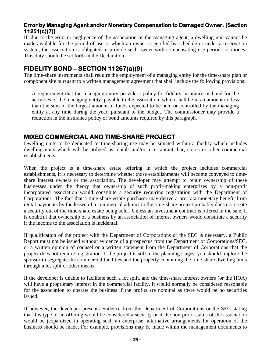# **Error by Managing Agent and/or Monetary Compensation to Damaged Owner. [Section 11251(c)(7)]**

If, due to the error or negligence of the association or the managing agent, a dwelling unit cannot be made available for the period of use to which an owner is entitled by schedule or under a reservation system, the association is obligated to provide such owner with compensating use periods or money. This duty should be set forth in the Declaration.

# **FIDELITY BOND – SECTION 11267(a)(9)**

The time-share instruments shall require the employment of a managing entity for the time-share plan or component site pursuant to a written management agreement that shall include the following provisions:

A requirement that the managing entity provide a policy for fidelity insurance or bond for the activities of the managing entity, payable to the association, which shall be in an amount no less than the sum of the largest amount of funds expected to be held or controlled by the managing entity at any time during the year, pursuant to the budget. The commissioner may provide a reduction in the insurance policy or bond amounts required by this paragraph.

# **MIXED COMMERCIAL AND TIME-SHARE PROJECT**

Dwelling units to be dedicated to time-sharing use may be situated within a facility which includes dwelling units which will be utilized as rentals and/or a restaurant, bar, stores or other commercial establishments.

When the project is a time-share estate offering in which the project includes commercial establishments, it is necessary to determine whether those establishments will become conveyed to timeshare interest owners or the association. The developer may attempt to retain ownership of these businesses under the theory that ownership of such profit-making enterprises by a non-profit incorporated association would constitute a security requiring registration with the Department of Corporations. The fact that a time-share estate purchaser may derive a pro rata monetary benefit from rental payments by the lessee of a commercial adjunct to the time-share project probably does not create a security out of the time-share estate being sold. Unless an investment contract is offered in the sale, it is doubtful that ownership of a business by an association of interest owners would constitute a security if the income to the association is incidental.

If qualification of the project with the Department of Corporations or the SEC is necessary, a Public Report must not be issued without evidence of a prospectus from the Department of Corporations/SEC, or a written opinion of counsel or a written statement from the Department of Corporations that the project does not require registration. If the project is still in the planning stages, you should implore the sponsor to segregate the commercial facilities and the property containing the time-share dwelling units through a lot split or other means.

If the developer is unable to facilitate such a lot split, and the time-share interest owners (or the HOA) will have a proprietary interest in the commercial facility, it would normally be considered reasonable for the association to operate the business if the profits are nominal as there would be no securities issued.

If however, the developer presents evidence from the Department of Corporations or the SEC stating that this type of an offering would be considered a security or if the non-profit status of the association would be jeopardized in operating such an enterprise, alternative arrangements for operation of the business should be made. For example, provisions may be made within the management documents to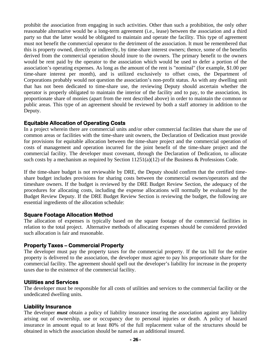prohibit the association from engaging in such activities. Other than such a prohibition, the only other reasonable alternative would be a long-term agreement (i.e., lease) between the association and a third party so that the latter would be obligated to maintain and operate the facility. This type of agreement must not benefit the commercial operator to the detriment of the association. It must be remembered that this is property owned, directly or indirectly, by time-share interest owners; thence, some of the benefits derived from the commercial operation should inure to the owners. The primary benefit to the owners would be rent paid by the operator to the association which would be used to defer a portion of the association's operating expenses. As long as the amount of the rent is "nominal" (for example, \$1.00 per time-share interest per month), and is utilized exclusively to offset costs, the Department of Corporations probably would not question the association's non-profit status. As with any dwelling unit that has not been dedicated to time-share use, the reviewing Deputy should ascertain whether the operator is properly obligated to maintain the interior of the facility and to pay, to the association, its proportionate share of monies (apart from the rent described above) in order to maintain the common or public areas. This type of an agreement should be reviewed by both a staff attorney in addition to the Deputy.

### **Equitable Allocation of Operating Costs**

In a project wherein there are commercial units and/or other commercial facilities that share the use of common areas or facilities with the time-share unit owners, the Declaration of Dedication must provide for provisions for equitable allocation between the time-share project and the commercial operation of costs of management and operation incurred for the joint benefit of the time-share project and the commercial facility. The developer must covenant, through the Declaration of Dedication, to allocate such costs by a mechanism as required by Section 11251(a)(12) of the Business & Professions Code.

If the time-share budget is not reviewable by DRE, the Deputy should confirm that the certified timeshare budget includes provisions for sharing costs between the commercial owners/operators and the timeshare owners. If the budget is reviewed by the DRE Budget Review Section, the adequacy of the procedures for allocating costs, including the expense allocations will normally be evaluated by the Budget Review Deputy. If the DRE Budget Review Section is reviewing the budget, the following are essential ingredients of the allocation schedule:

#### **Square Footage Allocation Method**

The allocation of expenses is typically based on the square footage of the commercial facilities in relation to the total project. Alternative methods of allocating expenses should be considered provided such allocation is fair and reasonable.

### **Property Taxes – Commercial Property**

The developer must pay the property taxes for the commercial property. If the tax bill for the entire property is delivered to the association, the developer must agree to pay his proportionate share for the commercial facility. The agreement should spell out the developer's liability for increase in the property taxes due to the existence of the commercial facility.

#### **Utilities and Services**

The developer must be responsible for all costs of utilities and services to the commercial facility or the undedicated dwelling units.

#### **Liability Insurance**

The developer *must* obtain a policy of liability insurance insuring the association against any liability arising out of ownership, use or occupancy due to personal injuries or death. A policy of hazard insurance in amount equal to at least 80% of the full replacement value of the structures should be obtained in which the association should be named as an additional insured.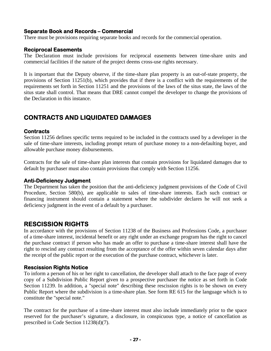### **Separate Book and Records – Commercial**

There must be provisions requiring separate books and records for the commercial operation.

#### **Reciprocal Easements**

The Declaration must include provisions for reciprocal easements between time-share units and commercial facilities if the nature of the project deems cross-use rights necessary.

It is important that the Deputy observe, if the time-share plan property is an out-of-state property, the provisions of Section 11251(b), which provides that if there is a conflict with the requirements of the requirements set forth in Section 11251 and the provisions of the laws of the situs state, the laws of the situs state shall control. That means that DRE cannot compel the developer to change the provisions of the Declaration in this instance.

# **CONTRACTS AND LIQUIDATED DAMAGES**

#### **Contracts**

Section 11256 defines specific terms required to be included in the contracts used by a developer in the sale of time-share interests, including prompt return of purchase money to a non-defaulting buyer, and allowable purchase money disbursements.

Contracts for the sale of time-share plan interests that contain provisions for liquidated damages due to default by purchaser must also contain provisions that comply with Section 11256.

#### **Anti-Deficiency Judgment**

The Department has taken the position that the anti-deficiency judgment provisions of the Code of Civil Procedure, Section 580(b), are applicable to sales of time-share interests. Each such contract or financing instrument should contain a statement where the subdivider declares he will not seek a deficiency judgment in the event of a default by a purchaser.

# **RESCISSION RIGHTS**

In accordance with the provisions of Section 11238 of the Business and Professions Code, a purchaser of a time-share interest, incidental benefit or any right under an exchange program has the right to cancel the purchase contract if person who has made an offer to purchase a time-share interest shall have the right to rescind any contract resulting from the acceptance of the offer within seven calendar days after the receipt of the public report or the execution of the purchase contract, whichever is later.

#### **Rescission Rights Notice**

To inform a person of his or her right to cancellation, the developer shall attach to the face page of every copy of a Subdivision Public Report given to a prospective purchaser the notice as set forth in Code Section 11239. In addition, a "special note" describing these rescission rights is to be shown on every Public Report where the subdivision is a time-share plan. See form RE 615 for the language which is to constitute the "special note."

The contract for the purchase of a time-share interest must also include immediately prior to the space reserved for the purchaser's signature, a disclosure, in conspicuous type, a notice of cancellation as prescribed in Code Section 11238(d)(7).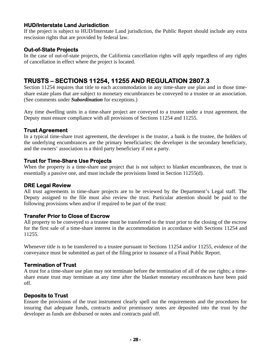### **HUD/Interstate Land Jurisdiction**

If the project is subject to HUD/Interstate Land jurisdiction, the Public Report should include any extra rescission rights that are provided by federal law.

### **Out-of-State Projects**

In the case of out-of-state projects, the California cancellation rights will apply regardless of any rights of cancellation in effect where the project is located.

# **TRUSTS – SECTIONS 11254, 11255 AND REGULATION 2807.3**

Section 11254 requires that title to each accommodation in any time-share use plan and in those timeshare estate plans that are subject to monetary encumbrances be conveyed to a trustee or an association. (See comments under *Subordination* for exceptions.)

Any time dwelling units in a time-share project are conveyed to a trustee under a trust agreement, the Deputy must ensure compliance with all provisions of Sections 11254 and 11255.

#### **Trust Agreement**

In a typical time-share trust agreement, the developer is the trustor, a bank is the trustee, the holders of the underlying encumbrances are the primary beneficiaries; the developer is the secondary beneficiary, and the owners' association is a third party beneficiary if not a party.

#### **Trust for Time-Share Use Projects**

When the property is a time-share use project that is not subject to blanket encumbrances, the trust is essentially a passive one, and must include the provisions listed in Section 11255(d).

#### **DRE Legal Review**

All trust agreements in time-share projects are to be reviewed by the Department's Legal staff. The Deputy assigned to the file must also review the trust. Particular attention should be paid to the following provisions when and/or if required to be part of the trust:

#### **Transfer Prior to Close of Escrow**

All property to be conveyed to a trustee must be transferred to the trust prior to the closing of the escrow for the first sale of a time-share interest in the accommodation in accordance with Sections 11254 and 11255.

Whenever title is to be transferred to a trustee pursuant to Sections 11254 and/or 11255, evidence of the conveyance must be submitted as part of the filing prior to issuance of a Final Public Report.

#### **Termination of Trust**

A trust for a time-share use plan may not terminate before the termination of all of the use rights; a timeshare estate trust may terminate at any time after the blanket monetary encumbrances have been paid off.

#### **Deposits to Trust**

Ensure the provisions of the trust instrument clearly spell out the requirements and the procedures for insuring that adequate funds, contracts and/or promissory notes are deposited into the trust by the developer as funds are disbursed or notes and contracts paid off.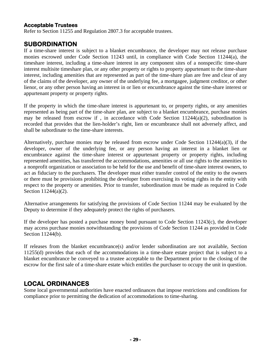### **Acceptable Trustees**

Refer to Section 11255 and Regulation 2807.3 for acceptable trustees.

# **SUBORDINATION**

If a time-share interest is subject to a blanket encumbrance, the developer may not release purchase monies escrowed under Code Section 11243 until, in compliance with Code Section 11244(a), the timeshare interest, including a time-share interest in any component sites of a nonspecific time-share interest multisite timeshare plan, or any other property or rights to property appurtenant to the time-share interest, including amenities that are represented as part of the time-share plan are free and clear of any of the claims of the developer, any owner of the underlying fee, a mortgagee, judgment creditor, or other lienor, or any other person having an interest in or lien or encumbrance against the time-share interest or appurtenant property or property rights.

If the property in which the time-share interest is appurtenant to, or property rights, or any amenities represented as being part of the time-share plan, are subject to a blanket encumbrance, purchase monies may be released from escrow if , in accordance with Code Section 11244(a)(2), subordination is recorded that provides that the lien-holder's right, lien or encumbrance shall not adversely affect, and shall be subordinate to the time-share interests.

Alternatively, purchase monies may be released from escrow under Code Section 11244(a)(3), if the developer, owner of the underlying fee, or any person having an interest in a blanket lien or encumbrance against the time-share interest or appurtenant property or property rights, including represented amenities, has transferred the accommodations, amenities or all use rights to the amenities to a nonprofit organization or association to be held for the use and benefit of time-share interest owners, to act as fiduciary to the purchasers. The developer must either transfer control of the entity to the owners or there must be provisions prohibiting the developer from exercising its voting rights in the entity with respect to the property or amenities. Prior to transfer, subordination must be made as required in Code Section 11244(a)(2).

Alternative arrangements for satisfying the provisions of Code Section 11244 may be evaluated by the Deputy to determine if they adequately protect the rights of purchasers.

If the developer has posted a purchase money bond pursuant to Code Section 11243(c), the developer may access purchase monies notwithstanding the provisions of Code Section 11244 as provided in Code Section 11244(b).

If releases from the blanket encumbrance(s) and/or lender subordination are not available, Section 11255(d) provides that each of the accommodations in a time-share estate project that is subject to a blanket encumbrance be conveyed to a trustee acceptable to the Department prior to the closing of the escrow for the first sale of a time-share estate which entitles the purchaser to occupy the unit in question.

# **LOCAL ORDINANCES**

Some local governmental authorities have enacted ordinances that impose restrictions and conditions for compliance prior to permitting the dedication of accommodations to time-sharing.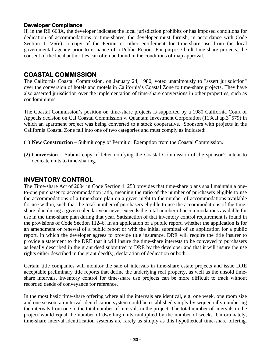### **Developer Compliance**

 consent of the local authorities can often be found in the conditions of map approval. If, in the RE 668A, the developer indicates the local jurisdiction prohibits or has imposed conditions for dedication of accommodations to time-shares, the developer must furnish, in accordance with Code Section 11226(e), a copy of the Permit or other entitlement for time-share use from the local governmental agency prior to issuance of a Public Report. For purpose built time-share projects, the

# **COASTAL COMMISSION**

The California Coastal Commission, on January 24, 1980, voted unanimously to "assert jurisdiction" over the conversion of hotels and motels in California's Coastal Zone to time-share projects. They have also asserted jurisdiction over the implementation of time-share conversions in other properties, such as condominiums.

The Coastal Commission's position on time-share projects is supported by a 1980 California Court of Appeals decision on Cal Coastal Commission v. Quantam Investment Corporation (113cal.ap.3<sup>rd</sup>579) in which an apartment project was being converted to a stock cooperative. Sponsors with projects in the California Coastal Zone fall into one of two categories and must comply as indicated:

- (1) **New Construction** Submit copy of Permit or Exemption from the Coastal Commission.
- (2) **Conversion** Submit copy of letter notifying the Coastal Commission of the sponsor's intent to dedicate units to time-sharing.

# **INVENTORY CONTROL**

The Time-share Act of 2004 in Code Section 11250 provides that time-share plans shall maintain a oneto-one purchaser to accommodation ratio, meaning the ratio of the number of purchasers eligible to use the accommodations of a time-share plan on a given night to the number of accommodations available for use within, such that the total number of purchasers eligible to use the accommodations of the timeshare plan during a given calendar year never exceeds the total number of accommodations available for use in the time-share plan during that year. Satisfaction of that inventory control requirement is found in the provisions of Code Section 11246. In an application of a public report, whether the application is for an amendment or renewal of a public report or with the initial submittal of an application for a public report, in which the developer agrees to provide title insurance, DRE will require the title insurer to provide a statement to the DRE that it will insure the time-share interests to be conveyed to purchasers as legally described in the grant deed submitted to DRE by the developer and that it will insure the use rights either described in the grant deed(s), declaration of dedication or both.

Certain title companies will monitor the sale of intervals in time-share estate projects and issue DRE acceptable preliminary title reports that define the underlying real property, as well as the unsold timeshare intervals. Inventory control for time-share use projects can be more difficult to track without recorded deeds of conveyance for reference.

In the most basic time-share offering where all the intervals are identical, e.g. one week, one room size and one season, an interval identification system could be established simply by sequentially numbering the intervals from one to the total number of intervals in the project. The total number of intervals in the project would equal the number of dwelling units multiplied by the number of weeks. Unfortunately, time-share interval identification systems are rarely as simply as this hypothetical time-share offering.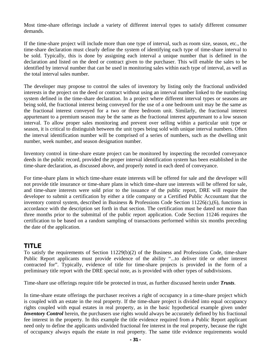Most time-share offerings include a variety of different interval types to satisfy different consumer demands.

If the time-share project will include more than one type of interval, such as room size, season, etc., the time-share declaration must clearly define the system of identifying each type of time-share interval to be sold. Typically, this is done by assigning each interval a unique number that is defined in the declaration and listed on the deed or contract given to the purchaser. This will enable the sales to be identified by interval number that can be used in monitoring sales within each type of interval, as well as the total interval sales number.

The developer may propose to control the sales of inventory by listing only the fractional undivided interests in the project on the deed or contract without using an interval number linked to the numbering system defined in the time-share declaration. In a project where different interval types or seasons are being sold, the fractional interest being conveyed for the use of a one bedroom unit may be the same as the fractional interest conveyed for a two or three bedroom unit. Similarly, the fractional interest appurtenant to a premium season may be the same as the fractional interest appurtenant to a low season interval. To allow proper sales monitoring and prevent over selling within a particular unit type or season, it is critical to distinguish between the unit types being sold with unique interval numbers. Often the interval identification number will be comprised of a series of numbers, such as the dwelling unit number, week number, and season designation number.

Inventory control in time-share estate project can be monitored by inspecting the recorded conveyance deeds in the public record, provided the proper interval identification system has been established in the time-share declaration, as discussed above, and properly noted in each deed of conveyance.

For time-share plans in which time-share estate interests will be offered for sale and the developer will not provide title insurance or time-share plans in which time-share use interests will be offered for sale, and time-share interests were sold prior to the issuance of the public report, DRE will require the developer to submit a certification by either a title company or a Certified Public Accountant that the inventory control system, described in Business & Professions Code Section 11226(c),(6), functions in accordance with the description set forth in that section. The certification must be dated not more than three months prior to the submittal of the public report application. Code Section 11246 requires the certification to be based on a random sampling of transactions performed within six months preceding the date of the application.

# **TITLE**

To satisfy the requirements of Section 11229(b)(2) of the Business and Professions Code, time-share Public Report applicants must provide evidence of the ability "...to deliver title or other interest contracted for". Typically, evidence of title for time-share projects is provided in the form of a preliminary title report with the DRE special note, as is provided with other types of subdivisions.

Time-share use offerings require title be protected in trust, as further discussed herein under *Trusts*.

In time-share estate offerings the purchaser receives a right of occupancy in a time-share project which is coupled with an estate in the real property. If the time-share project is divided into equal occupancy rights coupled with equal estates in real property, as in the basic hypothetical example given under *Inventory Control* herein, the purchasers use rights would always be accurately defined by his fractional fee interest in the property. In this example the title evidence required from a Public Report applicant need only to define the applicants undivided fractional fee interest in the real property, because the right of occupancy always equals the estate in real property. The same title evidence requirements would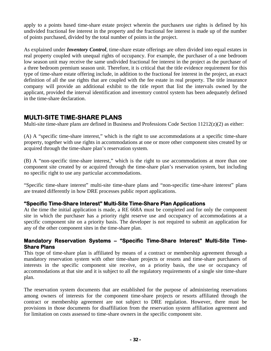apply to a points based time-share estate project wherein the purchasers use rights is defined by his undivided fractional fee interest in the property and the fractional fee interest is made up of the number of points purchased, divided by the total number of points in the project.

As explained under *Inventory Control*, time-share estate offerings are often divided into equal estates in real property coupled with unequal rights of occupancy. For example, the purchaser of a one bedroom low season unit may receive the same undivided fractional fee interest in the project as the purchaser of a three bedroom premium season unit. Therefore, it is critical that the title evidence requirement for this type of time-share estate offering include, in addition to the fractional fee interest in the project, an exact definition of all the use rights that are coupled with the fee estate in real property. The title insurance company will provide an additional exhibit to the title report that list the intervals owned by the applicant, provided the interval identification and inventory control system has been adequately defined in the time-share declaration.

# **MULTI-SITE TIME-SHARE PLANS**

Multi-site time-share plans are defined in Business and Professions Code Section 11212(z)(2) as either:

(A) A "specific time-share interest," which is the right to use accommodations at a specific time-share property, together with use rights in accommodations at one or more other component sites created by or acquired through the time-share plan's reservation system.

(B) A "non-specific time-share interest," which is the right to use accommodations at more than one component site created by or acquired through the time-share plan's reservation system, but including no specific right to use any particular accommodations.

"Specific time-share interest" multi-site time-share plans and "non-specific time-share interest" plans are treated differently in how DRE processes public report applications.

### **"Specific Time-Share Interest" Multi-Site Time-Share Plan Applications**

At the time the initial application is made, a RE 668A must be completed and for only the component site in which the purchaser has a priority right reserve use and occupancy of accommodations at a specific component site on a priority basis. The developer is not required to submit an application for any of the other component sites in the time-share plan.

### **Mandatory Reservation Systems – "Specific Time-Share Interest" Multi-Site Time-Share Plans**

This type of time-share plan is affiliated by means of a contract or membership agreement through a mandatory reservation system with other time-share projects or resorts and time-share purchasers of interests in the specific component site receive, on a priority basis, the use or occupancy of accommodations at that site and it is subject to all the regulatory requirements of a single site time-share plan.

The reservation system documents that are established for the purpose of administering reservations among owners of interests for the component time-share projects or resorts affiliated through the contract or membership agreement are not subject to DRE regulation. However, there must be provisions in those documents for disaffiliation from the reservation system affiliation agreement and for limitation on costs assessed to time-share owners in the specific component site.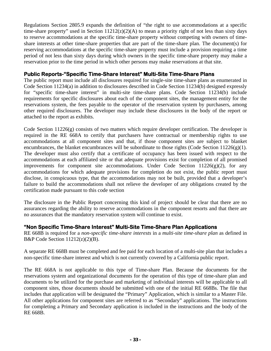Regulations Section 2805.9 expands the definition of "the right to use accommodations at a specific time-share property" used in Section  $11212(z)(2)(A)$  to mean a priority right of not less than sixty days to reserve accommodations at the specific time-share property without competing with owners of timeshare interests at other time-share properties that are part of the time-share plan. The document(s) for reserving accommodations at the specific time-share property must include a provision requiring a time period of not less than sixty days during which owners in the specific time-share property may make a reservation prior to the time period in which other persons may make reservations at that site.

#### **Public Reports-"Specific Time-Share Interest" Multi-Site Time-Share Plans**

The public report must include all disclosures required for single-site time-share plans as enumerated in Code Section 11234(a) in addition to disclosures described in Code Section 11234(b) designed expressly for "specific time-share interest" in multi-site time-share plans. Code Section 11234(b) include requirements for specific disclosures about each of the component sites, the management entity for the reservations system, the fees payable to the operator of the reservation system by purchasers, among other required disclosures. The developer may include these disclosures in the body of the report or attached to the report as exhibits.

Code Section 11226(g) consists of two matters which require developer certification. The developer is required in the RE 668A to certify that purchasers have contractual or membership rights to use accommodations at all component sites and that, if those component sites are subject to blanket encumbrances, the blanket encumbrances will be subordinate to those rights (Code Section  $11226(g)(1)$ . The developer must also certify that a certificate of occupancy has been issued with respect to the accommodations at each affiliated site or that adequate provisions exist for completion of all promised improvements for component site accommodations. Under Code Section  $11226(g)(2)$ , for any accommodations for which adequate provisions for completion do not exist, the public report must disclose, in conspicuous type, that the accommodations may not be built, provided that a developer's failure to build the accommodations shall not relieve the developer of any obligations created by the certification made pursuant to this code section

The disclosure in the Public Report concerning this kind of project should be clear that there are no assurances regarding the ability to reserve accommodations in the component resorts and that there are no assurances that the mandatory reservation system will continue to exist.

#### **"Non Specific Time-Share Interest" Multi-Site Time-Share Plan Applications**

RE 668B is required for a *non-specific time-share interests* in a *multi-site time-share plan* as defined in B&P Code Section  $11212(z)(2)(B)$ .

A separate RE 668B must be completed and fee paid for each location of a multi-site plan that includes a non-specific time-share interest and which is not currently covered by a California public report.

The RE 668A is not applicable to this type of Time-share Plan. Because the documents for the reservations system and organizational documents for the operation of this type of time-share plan and documents to be utilized for the purchase and marketing of individual interests will be applicable to all component sites, those documents should be submitted with one of the initial RE 668Bs. The file that includes that application will be designated the "Primary" Application, which is similar to a Master File. All other applications for component sites are referred to as "Secondary" applications. The instructions for completing a Primary and Secondary application is included in the instructions and the body of the RE 668B.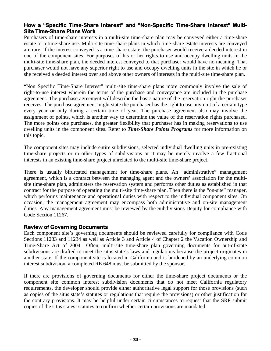### **How a "Specific Time-Share Interest" and "Non-Specific Time-Share Interest" Multi-Site Time-Share Plans Work**

Purchasers of time-share interests in a multi-site time-share plan may be conveyed either a time-share estate or a time-share use. Multi-site time-share plans in which time-share estate interests are conveyed are rare. If the interest conveyed is a time-share estate, the purchaser would receive a deeded interest in one of the component sites. For purposes of his or her rights to use and occupy dwelling units in the multi-site time-share plan, the deeded interest conveyed to that purchaser would have no meaning. That purchaser would not have any superior right to use and occupy dwelling units in the site in which he or she received a deeded interest over and above other owners of interests in the multi-site time-share plan.

"Non Specific Time-Share Interest" multi-site time-share plans more commonly involve the sale of right-to-use interest wherein the terms of the purchase and conveyance are included in the purchase agreement. The purchase agreement will describe the basic nature of the reservation right the purchaser receives. The purchase agreement might state the purchaser has the right to use any unit of a certain type every year or only during a certain time of year. The purchase agreement also may involve the assignment of points, which is another way to determine the value of the reservation rights purchased. The more points one purchases, the greater flexibility that purchaser has in making reservations to use dwelling units in the component sites. Refer to *Time-Share Points Programs* for more information on this topic.

The component sites may include entire subdivisions, selected individual dwelling units in pre-existing time-share projects or in other types of subdivisions or it may be merely involve a few fractional interests in an existing time-share project unrelated to the multi-site time-share project.

There is usually bifurcated management for time-share plans. An "administrative" management agreement, which is a contract between the managing agent and the owners' association for the multisite time-share plan, administers the reservation system and performs other duties as established in that contract for the purpose of operating the multi-site time-share plan. Then there is the "on-site" manager, which performs maintenance and operational duties with respect to the individual component sites. On occasion, the management agreement may encompass both administrative and on-site management duties. Any management agreement must be reviewed by the Subdivisions Deputy for compliance with Code Section 11267.

#### **Review of Governing Documents**

Each component site's governing documents should be reviewed carefully for compliance with Code Sections 11233 and 11234 as well as Article 3 and Article 4 of Chapter 2 the Vacation Ownership and Time-Share Act of 2004 Often, multi-site time-share plan governing documents for out-of-state subdivisions are drafted to meet the situs state's laws and regulations because the project originates in another state. If the component site is located in California and is burdened by an underlying common interest subdivision, a completed RE 648 must be submitted by the sponsor.

If there are provisions of governing documents for either the time-share project documents or the component site common interest subdivision documents that do not meet California regulatory requirements, the developer should provide either authoritative legal support for those provisions (such as copies of the situs state's statutes or regulations that require the provisions) or other justification for the contrary provisions. It may be helpful under certain circumstances to request that the SRP submit copies of the situs states' statutes to confirm whether certain provisions are mandated.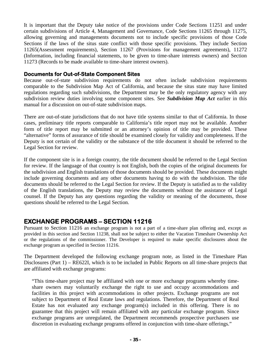It is important that the Deputy take notice of the provisions under Code Sections 11251 and under certain subdivisions of Article 4, Management and Governance, Code Sections 11265 through 11275, allowing governing and managements documents not to include specific provisions of those Code Sections if the laws of the situs state conflict with those specific provisions. They include Section 11265(Assessment requirements), Section 11267 (Provisions for management agreements), 11272 (Information, including financial statements, to be given to time-share interests owners) and Section 11273 (Records to be made available to time-share interest owners).

#### **Documents for Out-of-State Component Sites**

Because out-of-state subdivision requirements do not often include subdivision requirements comparable to the Subdivision Map Act of California, and because the situs state may have limited regulations regarding such subdivisions, the Department may be the only regulatory agency with any subdivision review duties involving some component sites. See *Subdivision Map Act* earlier in this manual for a discussion on out-of-state subdivision maps.

There are out-of-state jurisdictions that do not have title systems similar to that of California. In those cases, preliminary title reports comparable to California's title report may not be available. Another form of title report may be submitted or an attorney's opinion of title may be provided. These "alternative" forms of assurance of title should be examined closely for validity and completeness. If the Deputy is not certain of the validity or the substance of the title document it should be referred to the Legal Section for review.

If the component site is in a foreign country, the title document should be referred to the Legal Section for review. If the language of that country is not English, both the copies of the original documents for the subdivision and English translations of those documents should be provided. These documents might include governing documents and any other documents having to do with the subdivision. The title documents should be referred to the Legal Section for review. If the Deputy is satisfied as to the validity of the English translations, the Deputy may review the documents without the assistance of Legal counsel. If the Deputy has any questions regarding the validity or meaning of the documents, those questions should be referred to the Legal Section.

# **EXCHANGE PROGRAMS – SECTION 11216**

exchange program as specified in Section 11216. Pursuant to Section 11216 an exchange program is not a part of a time-share plan offering and, except as provided in this section and Section 11238, shall not be subject to either the Vacation Timeshare Ownership Act or the regulations of the commissioner. The Developer is required to make specific disclosures about the

The Department developed the following exchange program note, as listed in the Timeshare Plan Disclosures (Part 1) – RE622I, which is to be included in Public Reports on all time-share projects that are affiliated with exchange programs:

"This time-share project may be affiliated with one or more exchange programs whereby timeshare owners may voluntarily exchange the right to use and occupy accommodations and facilities in this project with accommodations in other projects. Exchange programs are not subject to Department of Real Estate laws and regulations. Therefore, the Department of Real Estate has not evaluated any exchange program(s) included in this offering. There is no guarantee that this project will remain affiliated with any particular exchange program. Since exchange programs are unregulated, the Department recommends prospective purchasers use discretion in evaluating exchange programs offered in conjunction with time-share offerings."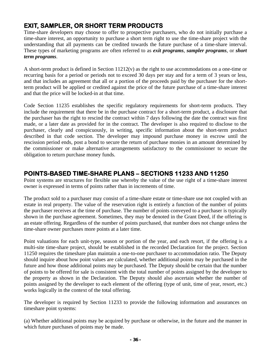# **EXIT, SAMPLER, OR SHORT TERM PRODUCTS**

Time-share developers may choose to offer to prospective purchasers, who do not initially purchase a time-share interest, an opportunity to purchase a short term right to use the time-share project with the understanding that all payments can be credited towards the future purchase of a time-share interval. These types of marketing programs are often referred to as *exit programs*, *sampler programs*, or *short term programs*.

A short-term product is defined in Section 11212(v) as the right to use accommodations on a one-time or recurring basis for a period or periods not to exceed 30 days per stay and for a term of 3 years or less, and that includes an agreement that all or a portion of the proceeds paid by the purchaser for the shortterm product will be applied or credited against the price of the future purchase of a time-share interest and that the price will be locked-in at that time.

Code Section 11235 establishes the specific regulatory requirements for short-term products. They include the requirement that there be in the purchase contract for a short-term product, a disclosure that the purchaser has the right to rescind the contract within 7 days following the date the contract was first made, or a later date as provided for in the contract. The developer is also required to disclose to the purchaser, clearly and conspicuously, in writing, specific information about the short-term product described in that code section. The developer may impound purchase money in escrow until the rescission period ends, post a bond to secure the return of purchase monies in an amount determined by the commissioner or make alternative arrangements satisfactory to the commissioner to secure the obligation to return purchase money funds.

# **POINTS-BASED TIME-SHARE PLANS – SECTIONS 11233 AND 11250**

Point systems are structures for flexible use whereby the value of the use right of a time-share interest owner is expressed in terms of points rather than in increments of time.

The product sold to a purchaser may consist of a time-share estate or time-share use not coupled with an estate in real property. The value of the reservation right is entirely a function of the number of points the purchaser receives at the time of purchase. The number of points conveyed to a purchaser is typically shown in the purchase agreement. Sometimes, they may be denoted in the Grant Deed, if the offering is an estate offering. Regardless of the number of points purchased, that number does not change unless the time-share owner purchases more points at a later time.

Point valuations for each unit-type, season or portion of the year, and each resort, if the offering is a multi-site time-share project, should be established in the recorded Declaration for the project. Section 11250 requires the timeshare plan maintain a one-to-one purchaser to accommodation ratio. The Deputy should inquire about how point values are calculated, whether additional points may be purchased in the future and how those additional points may be purchased. The Deputy should be certain that the number of points to be offered for sale is consistent with the total number of points assigned by the developer to the property as shown in the Declaration. The Deputy should also ascertain whether the number of points assigned by the developer to each element of the offering (type of unit, time of year, resort, etc.) works logically in the context of the total offering.

The developer is required by Section 11233 to provide the following information and assurances on timeshare point systems:

(a) Whether additional points may be acquired by purchase or otherwise, in the future and the manner in which future purchases of points may be made.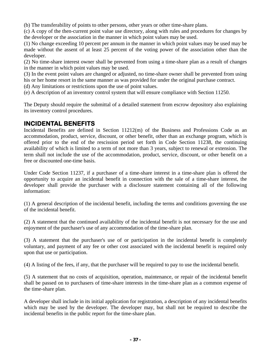(b) The transferability of points to other persons, other years or other time-share plans.

(c) A copy of the then-current point value use directory, along with rules and procedures for changes by the developer or the association in the manner in which point values may be used.

(1) No change exceeding 10 percent per annum in the manner in which point values may be used may be made without the assent of at least 25 percent of the voting power of the association other than the developer.

(2) No time-share interest owner shall be prevented from using a time-share plan as a result of changes in the manner in which point values may be used.

(3) In the event point values are changed or adjusted, no time-share owner shall be prevented from using his or her home resort in the same manner as was provided for under the original purchase contract.

- (d) Any limitations or restrictions upon the use of point values.
- (e) A description of an inventory control system that will ensure compliance with Section 11250.

The Deputy should require the submittal of a detailed statement from escrow depository also explaining its inventory control procedures.

# **INCIDENTAL BENEFITS**

Incidental Benefits are defined in Section 11212(m) of the Business and Professions Code as an accommodation, product, service, discount, or other benefit, other than an exchange program, which is offered prior to the end of the rescission period set forth in Code Section 11238, the continuing availability of which is limited to a term of not more than 3 years, subject to renewal or extension. The term shall not include the use of the accommodation, product, service, discount, or other benefit on a free or discounted one-time basis.

Under Code Section 11237, if a purchaser of a time-share interest in a time-share plan is offered the opportunity to acquire an incidental benefit in connection with the sale of a time-share interest, the developer shall provide the purchaser with a disclosure statement containing all of the following information:

(1) A general description of the incidental benefit, including the terms and conditions governing the use of the incidental benefit.

(2) A statement that the continued availability of the incidental benefit is not necessary for the use and enjoyment of the purchaser's use of any accommodation of the time-share plan.

(3) A statement that the purchaser's use of or participation in the incidental benefit is completely voluntary, and payment of any fee or other cost associated with the incidental benefit is required only upon that use or participation.

(4) A listing of the fees, if any, that the purchaser will be required to pay to use the incidental benefit.

(5) A statement that no costs of acquisition, operation, maintenance, or repair of the incidental benefit shall be passed on to purchasers of time-share interests in the time-share plan as a common expense of the time-share plan.

A developer shall include in its initial application for registration, a description of any incidental benefits which may be used by the developer. The developer may, but shall not be required to describe the incidental benefits in the public report for the time-share plan.